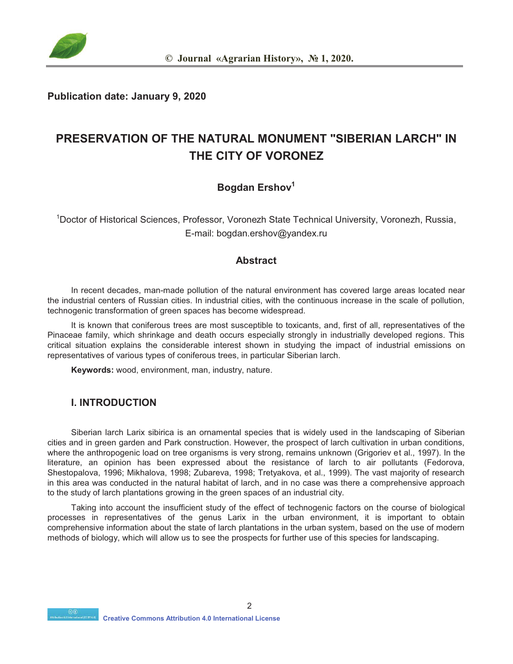

**Publication date: January 9, 2020** 

# **PRESERVATION OF THE NATURAL MONUMENT "SIBERIAN LARCH" IN THE CITY OF VORONEZ**

### **Bogdan Ershov<sup>1</sup>**

1 Doctor of Historical Sciences, Professor, Voronezh State Technical University, Voronezh, Russia, E-mail: bogdan.ershov@yandex.ru

#### **Abstract**

In recent decades, man-made pollution of the natural environment has covered large areas located near the industrial centers of Russian cities. In industrial cities, with the continuous increase in the scale of pollution, technogenic transformation of green spaces has become widespread.

It is known that coniferous trees are most susceptible to toxicants, and, first of all, representatives of the Pinaceae family, which shrinkage and death occurs especially strongly in industrially developed regions. This critical situation explains the considerable interest shown in studying the impact of industrial emissions on representatives of various types of coniferous trees, in particular Siberian larch.

**Keywords:** wood, environment, man, industry, nature.

### **I. INTRODUCTION**

Siberian larch Larix sibirica is an ornamental species that is widely used in the landscaping of Siberian cities and in green garden and Park construction. However, the prospect of larch cultivation in urban conditions, where the anthropogenic load on tree organisms is very strong, remains unknown (Grigoriev et al., 1997). In the literature, an opinion has been expressed about the resistance of larch to air pollutants (Fedorova, Shestopalova, 1996; Mikhalova, 1998; Zubareva, 1998; Tretyakova, et al., 1999). The vast majority of research in this area was conducted in the natural habitat of larch, and in no case was there a comprehensive approach to the study of larch plantations growing in the green spaces of an industrial city.

Taking into account the insufficient study of the effect of technogenic factors on the course of biological processes in representatives of the genus Larix in the urban environment, it is important to obtain comprehensive information about the state of larch plantations in the urban system, based on the use of modern methods of biology, which will allow us to see the prospects for further use of this species for landscaping.

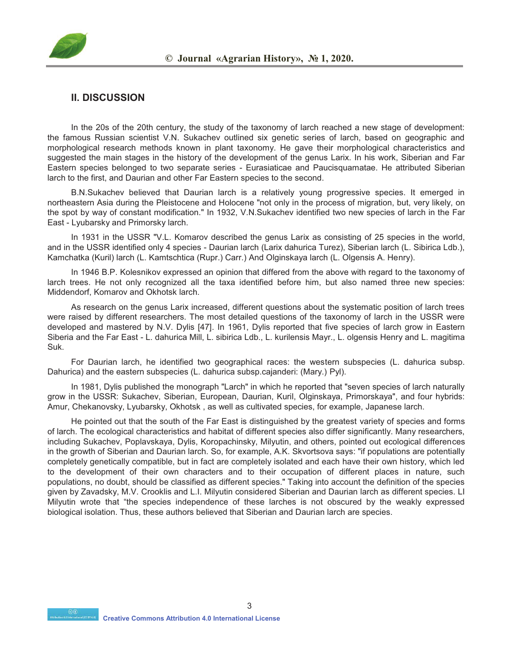

#### **II. DISCUSSION**

In the 20s of the 20th century, the study of the taxonomy of larch reached a new stage of development: the famous Russian scientist V.N. Sukachev outlined six genetic series of larch, based on geographic and morphological research methods known in plant taxonomy. He gave their morphological characteristics and suggested the main stages in the history of the development of the genus Larix. In his work, Siberian and Far Eastern species belonged to two separate series - Eurasiaticae and Paucisquamatae. He attributed Siberian larch to the first, and Daurian and other Far Eastern species to the second.

B.N.Sukachev believed that Daurian larch is a relatively young progressive species. It emerged in northeastern Asia during the Pleistocene and Holocene "not only in the process of migration, but, very likely, on the spot by way of constant modification." In 1932, V.N.Sukachev identified two new species of larch in the Far East - Lyubarsky and Primorsky larch.

In 1931 in the USSR "V.L. Komarov described the genus Larix as consisting of 25 species in the world, and in the USSR identified only 4 species - Daurian larch (Larix dahurica Turez), Siberian larch (L. Sibirica Ldb.), Kamchatka (Kuril) larch (L. Kamtschtica (Rupr.) Carr.) And Olginskaya larch (L. Olgensis A. Henry).

In 1946 B.P. Kolesnikov expressed an opinion that differed from the above with regard to the taxonomy of larch trees. He not only recognized all the taxa identified before him, but also named three new species: Middendorf, Komarov and Okhotsk larch.

As research on the genus Larix increased, different questions about the systematic position of larch trees were raised by different researchers. The most detailed questions of the taxonomy of larch in the USSR were developed and mastered by N.V. Dylis [47]. In 1961, Dylis reported that five species of larch grow in Eastern Siberia and the Far East - L. dahurica Mill, L. sibirica Ldb., L. kurilensis Mayr., L. olgensis Henry and L. magitima Suk.

For Daurian larch, he identified two geographical races: the western subspecies (L. dahurica subsp. Dahurica) and the eastern subspecies (L. dahurica subsp.cajanderi: (Mary.) Pyl).

In 1981, Dylis published the monograph "Larch" in which he reported that "seven species of larch naturally grow in the USSR: Sukachev, Siberian, European, Daurian, Kuril, Olginskaya, Primorskaya", and four hybrids: Amur, Chekanovsky, Lyubarsky, Okhotsk , as well as cultivated species, for example, Japanese larch.

He pointed out that the south of the Far East is distinguished by the greatest variety of species and forms of larch. The ecological characteristics and habitat of different species also differ significantly. Many researchers, including Sukachev, Poplavskaya, Dylis, Koropachinsky, Milyutin, and others, pointed out ecological differences in the growth of Siberian and Daurian larch. So, for example, A.K. Skvortsova says: "if populations are potentially completely genetically compatible, but in fact are completely isolated and each have their own history, which led to the development of their own characters and to their occupation of different places in nature, such populations, no doubt, should be classified as different species." Taking into account the definition of the species given by Zavadsky, M.V. Crooklis and L.I. Milyutin considered Siberian and Daurian larch as different species. LI Milyutin wrote that "the species independence of these larches is not obscured by the weakly expressed biological isolation. Thus, these authors believed that Siberian and Daurian larch are species.

 **CO**<br>**Creative Commons Attribution 4.0 International License**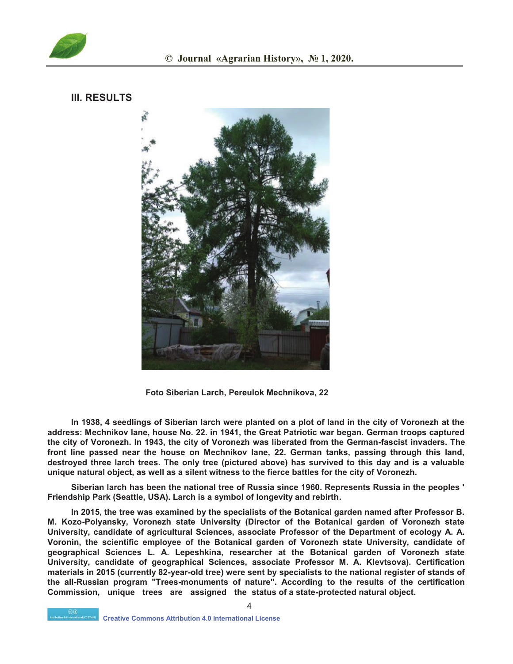

#### **III. RESULTS**



 **Foto Siberian Larch, Pereulok Mechnikova, 22** 

**In 1938, 4 seedlings of Siberian larch were planted on a plot of land in the city of Voronezh at the address: Mechnikov lane, house No. 22. in 1941, the Great Patriotic war began. German troops captured the city of Voronezh. In 1943, the city of Voronezh was liberated from the German-fascist invaders. The front line passed near the house on Mechnikov lane, 22. German tanks, passing through this land, destroyed three larch trees. The only tree (pictured above) has survived to this day and is a valuable unique natural object, as well as a silent witness to the fierce battles for the city of Voronezh.** 

**Siberian larch has been the national tree of Russia since 1960. Represents Russia in the peoples ' Friendship Park (Seattle, USA). Larch is a symbol of longevity and rebirth.** 

**In 2015, the tree was examined by the specialists of the Botanical garden named after Professor B. M. Kozo-Polyansky, Voronezh state University (Director of the Botanical garden of Voronezh state University, candidate of agricultural Sciences, associate Professor of the Department of ecology A. A. Voronin, the scientific employee of the Botanical garden of Voronezh state University, candidate of geographical Sciences L. A. Lepeshkina, researcher at the Botanical garden of Voronezh state University, candidate of geographical Sciences, associate Professor M. A. Klevtsova). Certification materials in 2015 (currently 82-year-old tree) were sent by specialists to the national register of stands of the all-Russian program "Trees-monuments of nature". According to the results of the certification Commission, unique trees are assigned the status of a state-protected natural object.** 

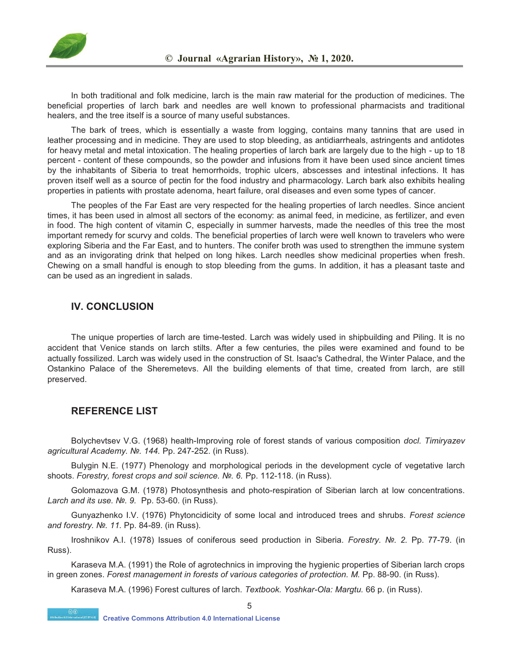

In both traditional and folk medicine, larch is the main raw material for the production of medicines. The beneficial properties of larch bark and needles are well known to professional pharmacists and traditional healers, and the tree itself is a source of many useful substances.

The bark of trees, which is essentially a waste from logging, contains many tannins that are used in leather processing and in medicine. They are used to stop bleeding, as antidiarrheals, astringents and antidotes for heavy metal and metal intoxication. The healing properties of larch bark are largely due to the high - up to 18 percent - content of these compounds, so the powder and infusions from it have been used since ancient times by the inhabitants of Siberia to treat hemorrhoids, trophic ulcers, abscesses and intestinal infections. It has proven itself well as a source of pectin for the food industry and pharmacology. Larch bark also exhibits healing properties in patients with prostate adenoma, heart failure, oral diseases and even some types of cancer.

The peoples of the Far East are very respected for the healing properties of larch needles. Since ancient times, it has been used in almost all sectors of the economy: as animal feed, in medicine, as fertilizer, and even in food. The high content of vitamin C, especially in summer harvests, made the needles of this tree the most important remedy for scurvy and colds. The beneficial properties of larch were well known to travelers who were exploring Siberia and the Far East, and to hunters. The conifer broth was used to strengthen the immune system and as an invigorating drink that helped on long hikes. Larch needles show medicinal properties when fresh. Chewing on a small handful is enough to stop bleeding from the gums. In addition, it has a pleasant taste and can be used as an ingredient in salads.

#### **IV. CONCLUSION**

The unique properties of larch are time-tested. Larch was widely used in shipbuilding and Piling. It is no accident that Venice stands on larch stilts. After a few centuries, the piles were examined and found to be actually fossilized. Larch was widely used in the construction of St. Isaac's Cathedral, the Winter Palace, and the Ostankino Palace of the Sheremetevs. All the building elements of that time, created from larch, are still preserved.

#### **REFERENCE LIST**

Bolychevtsev V.G. (1968) health-Improving role of forest stands of various composition *docl. Timiryazev agricultural Academy. №. 144.* Pp. 247-252. (in Russ).

Bulygin N.E. (1977) Phenology and morphological periods in the development cycle of vegetative larch shoots. *Forestry, forest crops and soil science. №. 6.* Pp. 112-118. (in Russ).

Golomazova G.M. (1978) Photosynthesis and photo-respiration of Siberian larch at low concentrations. *Larch and its use. №. 9.* Pp. 53-60. (in Russ).

Gunyazhenko I.V. (1976) Phytoncidicity of some local and introduced trees and shrubs. *Forest science and forestry. №. 11.* Pp. 84-89. (in Russ).

Iroshnikov A.I. (1978) Issues of coniferous seed production in Siberia. *Forestry. №. 2.* Pp. 77-79. (in Russ).

Karaseva M.A. (1991) the Role of agrotechnics in improving the hygienic properties of Siberian larch crops in green zones. *Forest management in forests of various categories of protection. M.* Pp. 88-90. (in Russ).

5 Karaseva M.A. (1996) Forest cultures of larch. *Textbook. Yoshkar-Ola: Margtu.* 66 p. (in Russ).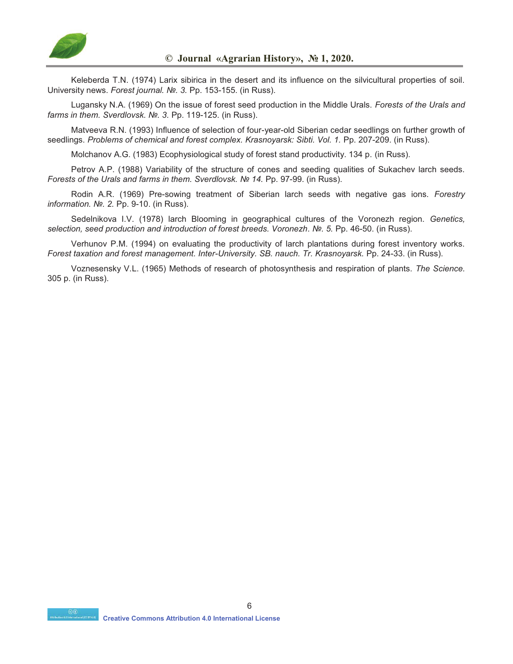

Keleberda T.N. (1974) Larix sibirica in the desert and its influence on the silvicultural properties of soil. University news. *Forest journal. №. 3.* Pp. 153-155. (in Russ).

Lugansky N.A. (1969) On the issue of forest seed production in the Middle Urals. *Forests of the Urals and farms in them. Sverdlovsk. Nº. 3. Pp. 119-125. (in Russ).* 

Matveeva R.N. (1993) Influence of selection of four-year-old Siberian cedar seedlings on further growth of seedlings. *Problems of chemical and forest complex. Krasnoyarsk: Sibti. Vol. 1.* Pp. 207-209. (in Russ).

Molchanov A.G. (1983) Ecophysiological study of forest stand productivity. 134 p. (in Russ).

Petrov A.P. (1988) Variability of the structure of cones and seeding qualities of Sukachev larch seeds. *Forests of the Urals and farms in them. Sverdlovsk. № 14.* Pp. 97-99. (in Russ).

Rodin A.R. (1969) Pre-sowing treatment of Siberian larch seeds with negative gas ions. *Forestry information. №. 2.* Pp. 9-10. (in Russ).

Sedelnikova I.V. (1978) larch Blooming in geographical cultures of the Voronezh region. *Genetics, selection, seed production and introduction of forest breeds. Voronezh. №. 5.* Pp. 46-50. (in Russ).

Verhunov P.M. (1994) on evaluating the productivity of larch plantations during forest inventory works. *Forest taxation and forest management. Inter-University. SB. nauch. Tr. Krasnoyarsk.* Pp. 24-33. (in Russ).

Voznesensky V.L. (1965) Methods of research of photosynthesis and respiration of plants. *The Science.*  305 p. (in Russ).

6